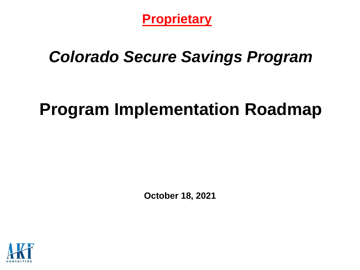**Proprietary**

# *Colorado Secure Savings Program*

# **Program Implementation Roadmap**

**October 18, 2021**

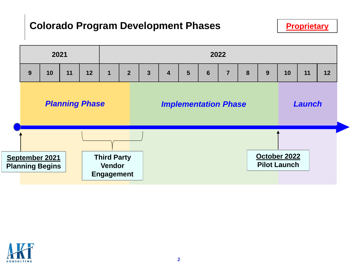#### **Colorado Program Development Phases**



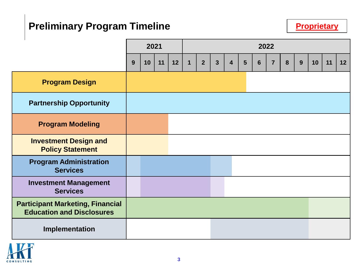## **Preliminary Program Timeline**

|                                                                             | 2021 |    |    | 2022 |              |                |                |                         |   |   |                |   |   |    |    |                 |
|-----------------------------------------------------------------------------|------|----|----|------|--------------|----------------|----------------|-------------------------|---|---|----------------|---|---|----|----|-----------------|
|                                                                             | 9    | 10 | 11 | 12   | $\mathbf{1}$ | $\overline{2}$ | $\overline{3}$ | $\overline{\mathbf{4}}$ | 5 | 6 | $\overline{7}$ | 8 | 9 | 10 | 11 | 12 <sub>2</sub> |
| <b>Program Design</b>                                                       |      |    |    |      |              |                |                |                         |   |   |                |   |   |    |    |                 |
| <b>Partnership Opportunity</b>                                              |      |    |    |      |              |                |                |                         |   |   |                |   |   |    |    |                 |
| <b>Program Modeling</b>                                                     |      |    |    |      |              |                |                |                         |   |   |                |   |   |    |    |                 |
| <b>Investment Design and</b><br><b>Policy Statement</b>                     |      |    |    |      |              |                |                |                         |   |   |                |   |   |    |    |                 |
| <b>Program Administration</b><br><b>Services</b>                            |      |    |    |      |              |                |                |                         |   |   |                |   |   |    |    |                 |
| <b>Investment Management</b><br><b>Services</b>                             |      |    |    |      |              |                |                |                         |   |   |                |   |   |    |    |                 |
| <b>Participant Marketing, Financial</b><br><b>Education and Disclosures</b> |      |    |    |      |              |                |                |                         |   |   |                |   |   |    |    |                 |
| Implementation                                                              |      |    |    |      |              |                |                |                         |   |   |                |   |   |    |    |                 |

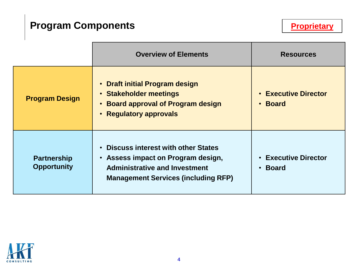## **Program Components**

|                                          | <b>Overview of Elements</b>                                                                                                                                           | <b>Resources</b>                                                    |
|------------------------------------------|-----------------------------------------------------------------------------------------------------------------------------------------------------------------------|---------------------------------------------------------------------|
| <b>Program Design</b>                    | • Draft initial Program design<br>• Stakeholder meetings<br>• Board approval of Program design<br>• Regulatory approvals                                              | <b>Executive Director</b><br>$\bullet$<br><b>Board</b><br>$\bullet$ |
| <b>Partnership</b><br><b>Opportunity</b> | <b>Discuss interest with other States</b><br>• Assess impact on Program design,<br><b>Administrative and Investment</b><br><b>Management Services (including RFP)</b> | <b>Executive Director</b><br>$\bullet$<br><b>Board</b><br>$\bullet$ |

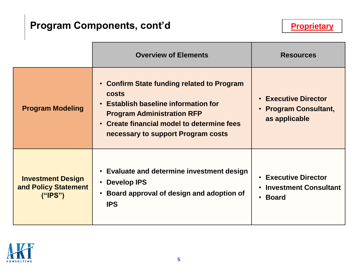## **Program Components, cont'd**

|                                                              | <b>Overview of Elements</b>                                                                                                                                                                                                 | <b>Resources</b>                                                                               |
|--------------------------------------------------------------|-----------------------------------------------------------------------------------------------------------------------------------------------------------------------------------------------------------------------------|------------------------------------------------------------------------------------------------|
| <b>Program Modeling</b>                                      | • Confirm State funding related to Program<br><b>costs</b><br>• Establish baseline information for<br><b>Program Administration RFP</b><br>• Create financial model to determine fees<br>necessary to support Program costs | <b>• Executive Director</b><br>• Program Consultant,<br>as applicable                          |
| <b>Investment Design</b><br>and Policy Statement<br>(''IPS") | • Evaluate and determine investment design<br>• Develop IPS<br>• Board approval of design and adoption of<br><b>IPS</b>                                                                                                     | • Executive Director<br><b>Investment Consultant</b><br>$\bullet$<br><b>Board</b><br>$\bullet$ |

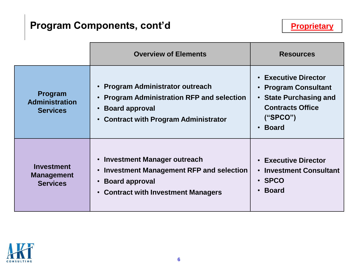## **Program Components, cont'd**

|                                                           | <b>Overview of Elements</b>                                                                                                                                             | <b>Resources</b>                                                                                                                                                                    |
|-----------------------------------------------------------|-------------------------------------------------------------------------------------------------------------------------------------------------------------------------|-------------------------------------------------------------------------------------------------------------------------------------------------------------------------------------|
| Program<br><b>Administration</b><br><b>Services</b>       | • Program Administrator outreach<br><b>Program Administration RFP and selection</b><br><b>Board approval</b><br><b>Contract with Program Administrator</b><br>$\bullet$ | <b>Executive Director</b><br><b>Program Consultant</b><br>$\bullet$<br><b>State Purchasing and</b><br>$\bullet$<br><b>Contracts Office</b><br>("SPCO")<br><b>Board</b><br>$\bullet$ |
| <b>Investment</b><br><b>Management</b><br><b>Services</b> | • Investment Manager outreach<br>Investment Management RFP and selection<br>$\bullet$<br><b>Board approval</b><br><b>Contract with Investment Managers</b><br>$\bullet$ | <b>Executive Director</b><br>$\bullet$<br><b>Investment Consultant</b><br>$\bullet$<br>· SPCO<br><b>Board</b><br>$\bullet$                                                          |

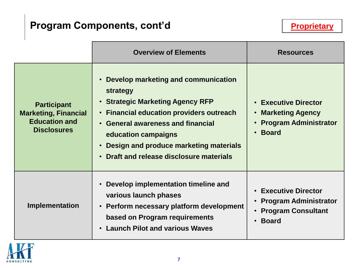## **Program Components, cont'd**

|                                                                                                 | <b>Overview of Elements</b>                                                                                                                                                                                                                                                                                                                                     | <b>Resources</b>                                                                                                                                           |
|-------------------------------------------------------------------------------------------------|-----------------------------------------------------------------------------------------------------------------------------------------------------------------------------------------------------------------------------------------------------------------------------------------------------------------------------------------------------------------|------------------------------------------------------------------------------------------------------------------------------------------------------------|
| <b>Participant</b><br><b>Marketing, Financial</b><br><b>Education and</b><br><b>Disclosures</b> | Develop marketing and communication<br>$\bullet$<br>strategy<br><b>Strategic Marketing Agency RFP</b><br>$\bullet$<br><b>Financial education providers outreach</b><br>$\bullet$<br><b>General awareness and financial</b><br>$\bullet$<br>education campaigns<br>Design and produce marketing materials<br>$\bullet$<br>Draft and release disclosure materials | <b>Executive Director</b><br>$\bullet$<br><b>Marketing Agency</b><br>$\bullet$<br><b>Program Administrator</b><br>$\bullet$<br><b>Board</b><br>$\bullet$   |
| Implementation                                                                                  | Develop implementation timeline and<br>$\bullet$<br>various launch phases<br>Perform necessary platform development<br>$\bullet$<br>based on Program requirements<br><b>Launch Pilot and various Waves</b>                                                                                                                                                      | <b>Executive Director</b><br>$\bullet$<br><b>Program Administrator</b><br>$\bullet$<br><b>Program Consultant</b><br>$\bullet$<br><b>Board</b><br>$\bullet$ |

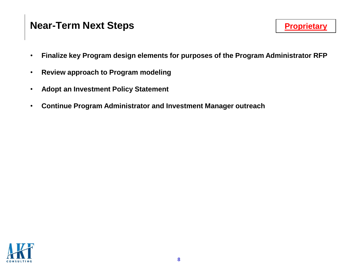#### **Near-Term Next Steps**

- **Finalize key Program design elements for purposes of the Program Administrator RFP**
- **Review approach to Program modeling**
- **Adopt an Investment Policy Statement**
- **Continue Program Administrator and Investment Manager outreach**